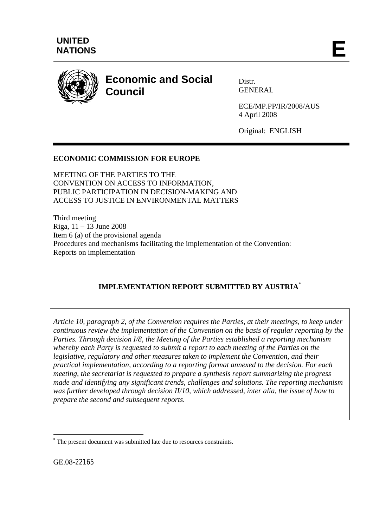

# **Economic and Social Council**

Distr. GENERAL

ECE/MP.PP/IR/2008/AUS 4 April 2008

Original: ENGLISH

## **ECONOMIC COMMISSION FOR EUROPE**

MEETING OF THE PARTIES TO THE CONVENTION ON ACCESS TO INFORMATION, PUBLIC PARTICIPATION IN DECISION-MAKING AND ACCESS TO JUSTICE IN ENVIRONMENTAL MATTERS

Third meeting Riga, 11 – 13 June 2008 Item 6 (a) of the provisional agenda Procedures and mechanisms facilitating the implementation of the Convention: Reports on implementation

## **IMPLEMENTATION REPORT SUBMITTED BY AUSTRIA**\*

*Article 10, paragraph 2, of the Convention requires the Parties, at their meetings, to keep under continuous review the implementation of the Convention on the basis of regular reporting by the Parties. Through decision I/8, the Meeting of the Parties established a reporting mechanism whereby each Party is requested to submit a report to each meeting of the Parties on the legislative, regulatory and other measures taken to implement the Convention, and their practical implementation, according to a reporting format annexed to the decision. For each meeting, the secretariat is requested to prepare a synthesis report summarizing the progress made and identifying any significant trends, challenges and solutions. The reporting mechanism was further developed through decision II/10, which addressed, inter alia, the issue of how to prepare the second and subsequent reports.* 

GE.08-22165

1

**<sup>\*</sup>** The present document was submitted late due to resources constraints.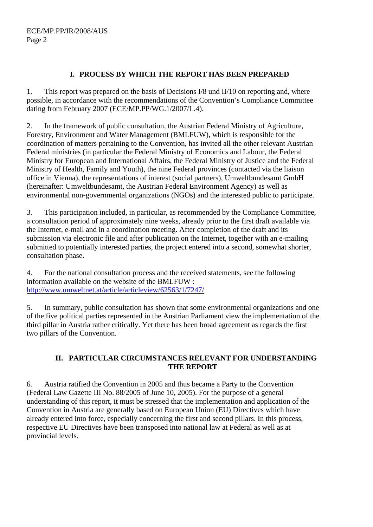## **I. PROCESS BY WHICH THE REPORT HAS BEEN PREPARED**

1. This report was prepared on the basis of Decisions I/8 und II/10 on reporting and, where possible, in accordance with the recommendations of the Convention's Compliance Committee dating from February 2007 (ECE/MP.PP/WG.1/2007/L.4).

2. In the framework of public consultation, the Austrian Federal Ministry of Agriculture, Forestry, Environment and Water Management (BMLFUW), which is responsible for the coordination of matters pertaining to the Convention, has invited all the other relevant Austrian Federal ministries (in particular the Federal Ministry of Economics and Labour, the Federal Ministry for European and International Affairs, the Federal Ministry of Justice and the Federal Ministry of Health, Family and Youth), the nine Federal provinces (contacted via the liaison office in Vienna), the representations of interest (social partners), Umweltbundesamt GmbH (hereinafter: Umweltbundesamt, the Austrian Federal Environment Agency) as well as environmental non-governmental organizations (NGOs) and the interested public to participate.

3. This participation included, in particular, as recommended by the Compliance Committee, a consultation period of approximately nine weeks, already prior to the first draft available via the Internet, e-mail and in a coordination meeting. After completion of the draft and its submission via electronic file and after publication on the Internet, together with an e-mailing submitted to potentially interested parties, the project entered into a second, somewhat shorter, consultation phase.

4. For the national consultation process and the received statements, see the following information available on the website of the BMLFUW : http://www.umweltnet.at/article/articleview/62563/1/7247/

5. In summary, public consultation has shown that some environmental organizations and one of the five political parties represented in the Austrian Parliament view the implementation of the third pillar in Austria rather critically. Yet there has been broad agreement as regards the first two pillars of the Convention.

## **II. PARTICULAR CIRCUMSTANCES RELEVANT FOR UNDERSTANDING THE REPORT**

6. Austria ratified the Convention in 2005 and thus became a Party to the Convention (Federal Law Gazette III No. 88/2005 of June 10, 2005). For the purpose of a general understanding of this report, it must be stressed that the implementation and application of the Convention in Austria are generally based on European Union (EU) Directives which have already entered into force, especially concerning the first and second pillars. In this process, respective EU Directives have been transposed into national law at Federal as well as at provincial levels.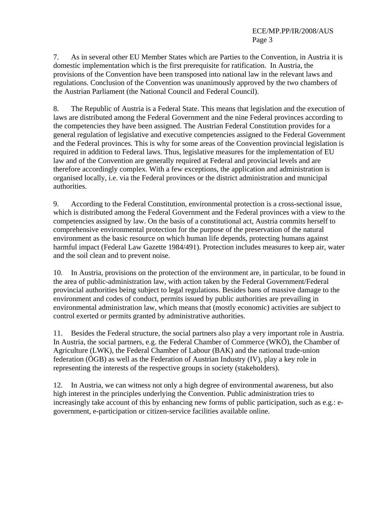7. As in several other EU Member States which are Parties to the Convention, in Austria it is domestic implementation which is the first prerequisite for ratification. In Austria, the provisions of the Convention have been transposed into national law in the relevant laws and regulations. Conclusion of the Convention was unanimously approved by the two chambers of the Austrian Parliament (the National Council and Federal Council).

8. The Republic of Austria is a Federal State. This means that legislation and the execution of laws are distributed among the Federal Government and the nine Federal provinces according to the competencies they have been assigned. The Austrian Federal Constitution provides for a general regulation of legislative and executive competencies assigned to the Federal Government and the Federal provinces. This is why for some areas of the Convention provincial legislation is required in addition to Federal laws. Thus, legislative measures for the implementation of EU law and of the Convention are generally required at Federal and provincial levels and are therefore accordingly complex. With a few exceptions, the application and administration is organised locally, i.e. via the Federal provinces or the district administration and municipal authorities.

9. According to the Federal Constitution, environmental protection is a cross-sectional issue, which is distributed among the Federal Government and the Federal provinces with a view to the competencies assigned by law. On the basis of a constitutional act, Austria commits herself to comprehensive environmental protection for the purpose of the preservation of the natural environment as the basic resource on which human life depends, protecting humans against harmful impact (Federal Law Gazette 1984/491). Protection includes measures to keep air, water and the soil clean and to prevent noise.

10. In Austria, provisions on the protection of the environment are, in particular, to be found in the area of public-administration law, with action taken by the Federal Government/Federal provincial authorities being subject to legal regulations. Besides bans of massive damage to the environment and codes of conduct, permits issued by public authorities are prevailing in environmental administration law, which means that (mostly economic) activities are subject to control exerted or permits granted by administrative authorities.

11. Besides the Federal structure, the social partners also play a very important role in Austria. In Austria, the social partners, e.g. the Federal Chamber of Commerce (WKÖ), the Chamber of Agriculture (LWK), the Federal Chamber of Labour (BAK) and the national trade-union federation (ÖGB) as well as the Federation of Austrian Industry (IV), play a key role in representing the interests of the respective groups in society (stakeholders).

12. In Austria, we can witness not only a high degree of environmental awareness, but also high interest in the principles underlying the Convention. Public administration tries to increasingly take account of this by enhancing new forms of public participation, such as e.g.: egovernment, e-participation or citizen-service facilities available online.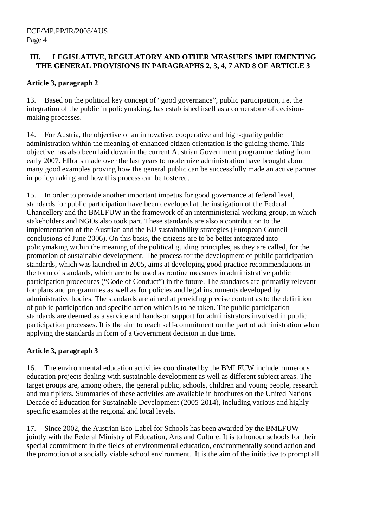## **III. LEGISLATIVE, REGULATORY AND OTHER MEASURES IMPLEMENTING THE GENERAL PROVISIONS IN PARAGRAPHS 2, 3, 4, 7 AND 8 OF ARTICLE 3**

## **Article 3, paragraph 2**

13. Based on the political key concept of "good governance", public participation, i.e. the integration of the public in policymaking, has established itself as a cornerstone of decisionmaking processes.

14. For Austria, the objective of an innovative, cooperative and high-quality public administration within the meaning of enhanced citizen orientation is the guiding theme. This objective has also been laid down in the current Austrian Government programme dating from early 2007. Efforts made over the last years to modernize administration have brought about many good examples proving how the general public can be successfully made an active partner in policymaking and how this process can be fostered.

15. In order to provide another important impetus for good governance at federal level, standards for public participation have been developed at the instigation of the Federal Chancellery and the BMLFUW in the framework of an interministerial working group, in which stakeholders and NGOs also took part. These standards are also a contribution to the implementation of the Austrian and the EU sustainability strategies (European Council conclusions of June 2006). On this basis, the citizens are to be better integrated into policymaking within the meaning of the political guiding principles, as they are called, for the promotion of sustainable development. The process for the development of public participation standards, which was launched in 2005, aims at developing good practice recommendations in the form of standards, which are to be used as routine measures in administrative public participation procedures ("Code of Conduct") in the future. The standards are primarily relevant for plans and programmes as well as for policies and legal instruments developed by administrative bodies. The standards are aimed at providing precise content as to the definition of public participation and specific action which is to be taken. The public participation standards are deemed as a service and hands-on support for administrators involved in public participation processes. It is the aim to reach self-commitment on the part of administration when applying the standards in form of a Government decision in due time.

## **Article 3, paragraph 3**

16. The environmental education activities coordinated by the BMLFUW include numerous education projects dealing with sustainable development as well as different subject areas. The target groups are, among others, the general public, schools, children and young people, research and multipliers. Summaries of these activities are available in brochures on the United Nations Decade of Education for Sustainable Development (2005-2014), including various and highly specific examples at the regional and local levels.

17. Since 2002, the Austrian Eco-Label for Schools has been awarded by the BMLFUW jointly with the Federal Ministry of Education, Arts and Culture. It is to honour schools for their special commitment in the fields of environmental education, environmentally sound action and the promotion of a socially viable school environment. It is the aim of the initiative to prompt all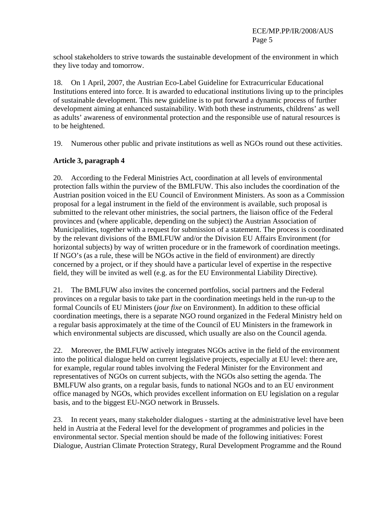school stakeholders to strive towards the sustainable development of the environment in which they live today and tomorrow.

18. On 1 April, 2007, the Austrian Eco-Label Guideline for Extracurricular Educational Institutions entered into force. It is awarded to educational institutions living up to the principles of sustainable development. This new guideline is to put forward a dynamic process of further development aiming at enhanced sustainability. With both these instruments, childrens' as well as adults' awareness of environmental protection and the responsible use of natural resources is to be heightened.

19. Numerous other public and private institutions as well as NGOs round out these activities.

## **Article 3, paragraph 4**

20. According to the Federal Ministries Act, coordination at all levels of environmental protection falls within the purview of the BMLFUW. This also includes the coordination of the Austrian position voiced in the EU Council of Environment Ministers. As soon as a Commission proposal for a legal instrument in the field of the environment is available, such proposal is submitted to the relevant other ministries, the social partners, the liaison office of the Federal provinces and (where applicable, depending on the subject) the Austrian Association of Municipalities, together with a request for submission of a statement. The process is coordinated by the relevant divisions of the BMLFUW and/or the Division EU Affairs Environment (for horizontal subjects) by way of written procedure or in the framework of coordination meetings. If NGO's (as a rule, these will be NGOs active in the field of environment) are directly concerned by a project, or if they should have a particular level of expertise in the respective field, they will be invited as well (e.g. as for the EU Environmental Liability Directive).

21. The BMLFUW also invites the concerned portfolios, social partners and the Federal provinces on a regular basis to take part in the coordination meetings held in the run-up to the formal Councils of EU Ministers (*jour fixe* on Environment). In addition to these official coordination meetings, there is a separate NGO round organized in the Federal Ministry held on a regular basis approximately at the time of the Council of EU Ministers in the framework in which environmental subjects are discussed, which usually are also on the Council agenda.

22. Moreover, the BMLFUW actively integrates NGOs active in the field of the environment into the political dialogue held on current legislative projects, especially at EU level: there are, for example, regular round tables involving the Federal Minister for the Environment and representatives of NGOs on current subjects, with the NGOs also setting the agenda. The BMLFUW also grants, on a regular basis, funds to national NGOs and to an EU environment office managed by NGOs, which provides excellent information on EU legislation on a regular basis, and to the biggest EU-NGO network in Brussels.

23. In recent years, many stakeholder dialogues - starting at the administrative level have been held in Austria at the Federal level for the development of programmes and policies in the environmental sector. Special mention should be made of the following initiatives: Forest Dialogue, Austrian Climate Protection Strategy, Rural Development Programme and the Round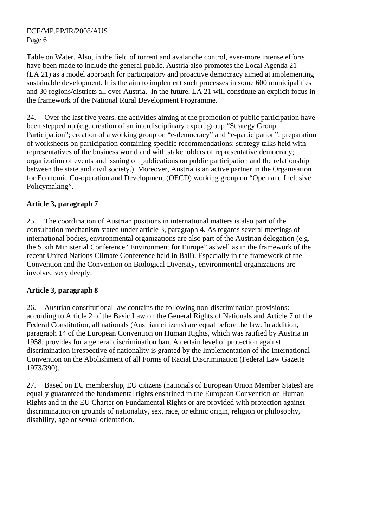Table on Water. Also, in the field of torrent and avalanche control, ever-more intense efforts have been made to include the general public. Austria also promotes the Local Agenda 21 (LA 21) as a model approach for participatory and proactive democracy aimed at implementing sustainable development. It is the aim to implement such processes in some 600 municipalities and 30 regions/districts all over Austria. In the future, LA 21 will constitute an explicit focus in the framework of the National Rural Development Programme.

24. Over the last five years, the activities aiming at the promotion of public participation have been stepped up (e.g. creation of an interdisciplinary expert group "Strategy Group Participation"; creation of a working group on "e-democracy" and "e-participation"; preparation of worksheets on participation containing specific recommendations; strategy talks held with representatives of the business world and with stakeholders of representative democracy; organization of events and issuing of publications on public participation and the relationship between the state and civil society.). Moreover, Austria is an active partner in the Organisation for Economic Co-operation and Development (OECD) working group on "Open and Inclusive Policymaking".

## **Article 3, paragraph 7**

25. The coordination of Austrian positions in international matters is also part of the consultation mechanism stated under article 3, paragraph 4. As regards several meetings of international bodies, environmental organizations are also part of the Austrian delegation (e.g. the Sixth Ministerial Conference "Environment for Europe" as well as in the framework of the recent United Nations Climate Conference held in Bali). Especially in the framework of the Convention and the Convention on Biological Diversity, environmental organizations are involved very deeply.

## **Article 3, paragraph 8**

26. Austrian constitutional law contains the following non-discrimination provisions: according to Article 2 of the Basic Law on the General Rights of Nationals and Article 7 of the Federal Constitution, all nationals (Austrian citizens) are equal before the law. In addition, paragraph 14 of the European Convention on Human Rights, which was ratified by Austria in 1958, provides for a general discrimination ban. A certain level of protection against discrimination irrespective of nationality is granted by the Implementation of the International Convention on the Abolishment of all Forms of Racial Discrimination (Federal Law Gazette 1973/390).

27. Based on EU membership, EU citizens (nationals of European Union Member States) are equally guaranteed the fundamental rights enshrined in the European Convention on Human Rights and in the EU Charter on Fundamental Rights or are provided with protection against discrimination on grounds of nationality, sex, race, or ethnic origin, religion or philosophy, disability, age or sexual orientation.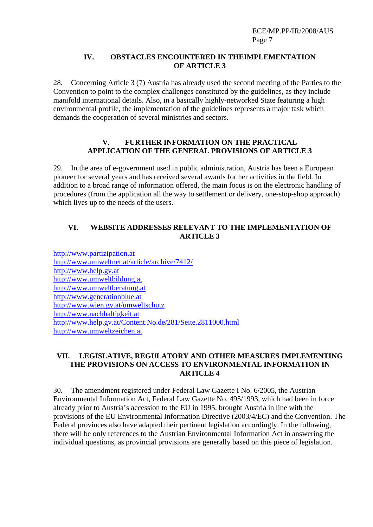#### **IV. OBSTACLES ENCOUNTERED IN THEIMPLEMENTATION OF ARTICLE 3**

28. Concerning Article 3 (7) Austria has already used the second meeting of the Parties to the Convention to point to the complex challenges constituted by the guidelines, as they include manifold international details. Also, in a basically highly-networked State featuring a high environmental profile, the implementation of the guidelines represents a major task which demands the cooperation of several ministries and sectors.

## **V. FURTHER INFORMATION ON THE PRACTICAL APPLICATION OF THE GENERAL PROVISIONS OF ARTICLE 3**

29. In the area of e-government used in public administration, Austria has been a European pioneer for several years and has received several awards for her activities in the field. In addition to a broad range of information offered, the main focus is on the electronic handling of procedures (from the application all the way to settlement or delivery, one-stop-shop approach) which lives up to the needs of the users.

## **VI. WEBSITE ADDRESSES RELEVANT TO THE IMPLEMENTATION OF ARTICLE 3**

http://www.partizipation.at http://www.umweltnet.at/article/archive/7412/ http://www.help.gv.at http://www.umweltbildung.at http://www.umweltberatung.at http://www.generationblue.at http://www.wien.gv.at/umweltschutz http://www.nachhaltigkeit.at http://www.help.gv.at/Content.No.de/281/Seite.2811000.html http://www.umweltzeichen.at

#### **VII. LEGISLATIVE, REGULATORY AND OTHER MEASURES IMPLEMENTING THE PROVISIONS ON ACCESS TO ENVIRONMENTAL INFORMATION IN ARTICLE 4**

30. The amendment registered under Federal Law Gazette I No. 6/2005, the Austrian Environmental Information Act, Federal Law Gazette No. 495/1993, which had been in force already prior to Austria's accession to the EU in 1995, brought Austria in line with the provisions of the EU Environmental Information Directive (2003/4/EC) and the Convention. The Federal provinces also have adapted their pertinent legislation accordingly. In the following, there will be only references to the Austrian Environmental Information Act in answering the individual questions, as provincial provisions are generally based on this piece of legislation.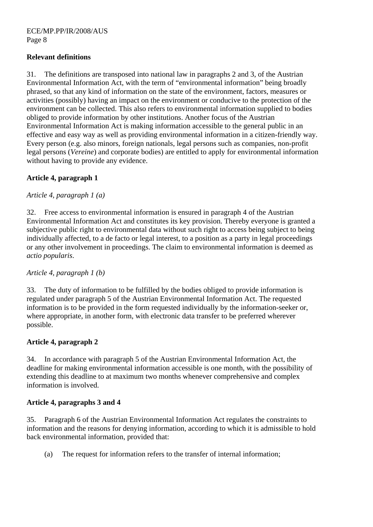## **Relevant definitions**

31. The definitions are transposed into national law in paragraphs 2 and 3, of the Austrian Environmental Information Act, with the term of "environmental information" being broadly phrased, so that any kind of information on the state of the environment, factors, measures or activities (possibly) having an impact on the environment or conducive to the protection of the environment can be collected. This also refers to environmental information supplied to bodies obliged to provide information by other institutions. Another focus of the Austrian Environmental Information Act is making information accessible to the general public in an effective and easy way as well as providing environmental information in a citizen-friendly way. Every person (e.g. also minors, foreign nationals, legal persons such as companies, non-profit legal persons (*Vereine*) and corporate bodies) are entitled to apply for environmental information without having to provide any evidence.

## **Article 4, paragraph 1**

## *Article 4, paragraph 1 (a)*

32. Free access to environmental information is ensured in paragraph 4 of the Austrian Environmental Information Act and constitutes its key provision. Thereby everyone is granted a subjective public right to environmental data without such right to access being subject to being individually affected, to a de facto or legal interest, to a position as a party in legal proceedings or any other involvement in proceedings. The claim to environmental information is deemed as *actio popularis*.

## *Article 4, paragraph 1 (b)*

33. The duty of information to be fulfilled by the bodies obliged to provide information is regulated under paragraph 5 of the Austrian Environmental Information Act. The requested information is to be provided in the form requested individually by the information-seeker or, where appropriate, in another form, with electronic data transfer to be preferred wherever possible.

## **Article 4, paragraph 2**

34. In accordance with paragraph 5 of the Austrian Environmental Information Act, the deadline for making environmental information accessible is one month, with the possibility of extending this deadline to at maximum two months whenever comprehensive and complex information is involved.

## **Article 4, paragraphs 3 and 4**

35. Paragraph 6 of the Austrian Environmental Information Act regulates the constraints to information and the reasons for denying information, according to which it is admissible to hold back environmental information, provided that:

(a) The request for information refers to the transfer of internal information;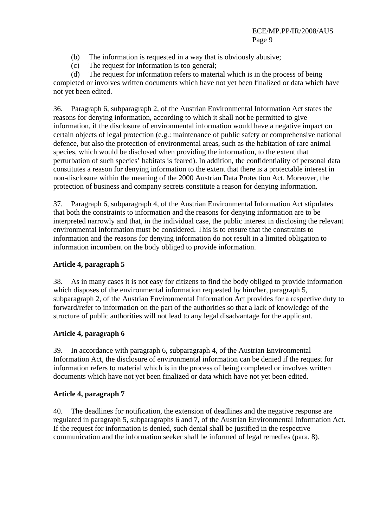- (b) The information is requested in a way that is obviously abusive;
- (c) The request for information is too general;

(d) The request for information refers to material which is in the process of being completed or involves written documents which have not yet been finalized or data which have not yet been edited.

36. Paragraph 6, subparagraph 2, of the Austrian Environmental Information Act states the reasons for denying information, according to which it shall not be permitted to give information, if the disclosure of environmental information would have a negative impact on certain objects of legal protection (e.g.: maintenance of public safety or comprehensive national defence, but also the protection of environmental areas, such as the habitation of rare animal species, which would be disclosed when providing the information, to the extent that perturbation of such species' habitats is feared). In addition, the confidentiality of personal data constitutes a reason for denying information to the extent that there is a protectable interest in non-disclosure within the meaning of the 2000 Austrian Data Protection Act. Moreover, the protection of business and company secrets constitute a reason for denying information.

37. Paragraph 6, subparagraph 4, of the Austrian Environmental Information Act stipulates that both the constraints to information and the reasons for denying information are to be interpreted narrowly and that, in the individual case, the public interest in disclosing the relevant environmental information must be considered. This is to ensure that the constraints to information and the reasons for denying information do not result in a limited obligation to information incumbent on the body obliged to provide information.

## **Article 4, paragraph 5**

38. As in many cases it is not easy for citizens to find the body obliged to provide information which disposes of the environmental information requested by him/her, paragraph 5, subparagraph 2, of the Austrian Environmental Information Act provides for a respective duty to forward/refer to information on the part of the authorities so that a lack of knowledge of the structure of public authorities will not lead to any legal disadvantage for the applicant.

## **Article 4, paragraph 6**

39. In accordance with paragraph 6, subparagraph 4, of the Austrian Environmental Information Act, the disclosure of environmental information can be denied if the request for information refers to material which is in the process of being completed or involves written documents which have not yet been finalized or data which have not yet been edited.

#### **Article 4, paragraph 7**

40. The deadlines for notification, the extension of deadlines and the negative response are regulated in paragraph 5, subparagraphs 6 and 7, of the Austrian Environmental Information Act. If the request for information is denied, such denial shall be justified in the respective communication and the information seeker shall be informed of legal remedies (para. 8).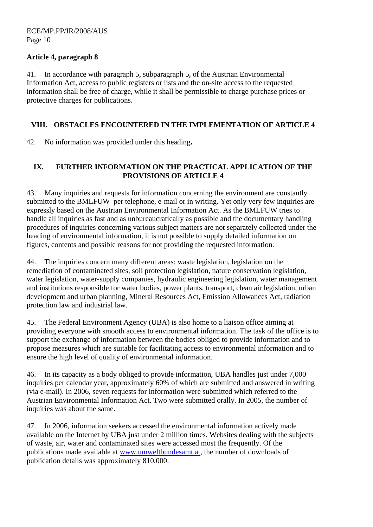## **Article 4, paragraph 8**

41. In accordance with paragraph 5, subparagraph 5, of the Austrian Environmental Information Act, access to public registers or lists and the on-site access to the requested information shall be free of charge, while it shall be permissible to charge purchase prices or protective charges for publications.

## **VIII. OBSTACLES ENCOUNTERED IN THE IMPLEMENTATION OF ARTICLE 4**

42. No information was provided under this heading**.** 

## **IX. FURTHER INFORMATION ON THE PRACTICAL APPLICATION OF THE PROVISIONS OF ARTICLE 4**

43. Many inquiries and requests for information concerning the environment are constantly submitted to the BMLFUW per telephone, e-mail or in writing. Yet only very few inquiries are expressly based on the Austrian Environmental Information Act. As the BMLFUW tries to handle all inquiries as fast and as unbureaucratically as possible and the documentary handling procedures of inquiries concerning various subject matters are not separately collected under the heading of environmental information, it is not possible to supply detailed information on figures, contents and possible reasons for not providing the requested information.

44. The inquiries concern many different areas: waste legislation, legislation on the remediation of contaminated sites, soil protection legislation, nature conservation legislation, water legislation, water-supply companies, hydraulic engineering legislation, water management and institutions responsible for water bodies, power plants, transport, clean air legislation, urban development and urban planning, Mineral Resources Act, Emission Allowances Act, radiation protection law and industrial law.

45. The Federal Environment Agency (UBA) is also home to a liaison office aiming at providing everyone with smooth access to environmental information. The task of the office is to support the exchange of information between the bodies obliged to provide information and to propose measures which are suitable for facilitating access to environmental information and to ensure the high level of quality of environmental information.

46. In its capacity as a body obliged to provide information, UBA handles just under 7,000 inquiries per calendar year, approximately 60% of which are submitted and answered in writing (via e-mail). In 2006, seven requests for information were submitted which referred to the Austrian Environmental Information Act. Two were submitted orally. In 2005, the number of inquiries was about the same.

47. In 2006, information seekers accessed the environmental information actively made available on the Internet by UBA just under 2 million times. Websites dealing with the subjects of waste, air, water and contaminated sites were accessed most the frequently. Of the publications made available at www.umweltbundesamt.at, the number of downloads of publication details was approximately 810,000.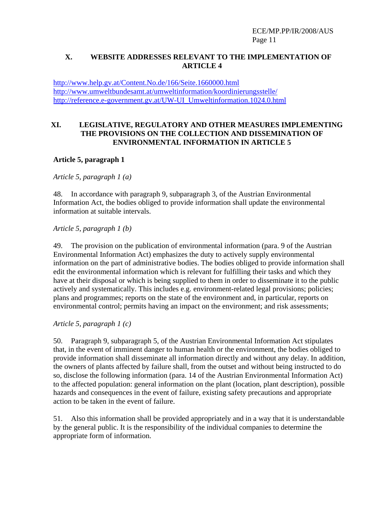## **X. WEBSITE ADDRESSES RELEVANT TO THE IMPLEMENTATION OF ARTICLE 4**

http://www.help.gv.at/Content.No.de/166/Seite.1660000.html http://www.umweltbundesamt.at/umweltinformation/koordinierungsstelle/ http://reference.e-government.gv.at/UW-UI\_Umweltinformation.1024.0.html

#### **XI. LEGISLATIVE, REGULATORY AND OTHER MEASURES IMPLEMENTING THE PROVISIONS ON THE COLLECTION AND DISSEMINATION OF ENVIRONMENTAL INFORMATION IN ARTICLE 5**

## **Article 5, paragraph 1**

*Article 5, paragraph 1 (a)* 

48. In accordance with paragraph 9, subparagraph 3, of the Austrian Environmental Information Act, the bodies obliged to provide information shall update the environmental information at suitable intervals.

*Article 5, paragraph 1 (b)*

49. The provision on the publication of environmental information (para. 9 of the Austrian Environmental Information Act) emphasizes the duty to actively supply environmental information on the part of administrative bodies. The bodies obliged to provide information shall edit the environmental information which is relevant for fulfilling their tasks and which they have at their disposal or which is being supplied to them in order to disseminate it to the public actively and systematically. This includes e.g. environment-related legal provisions; policies; plans and programmes; reports on the state of the environment and, in particular, reports on environmental control; permits having an impact on the environment; and risk assessments;

*Article 5, paragraph 1 (c)*

50. Paragraph 9, subparagraph 5, of the Austrian Environmental Information Act stipulates that, in the event of imminent danger to human health or the environment, the bodies obliged to provide information shall disseminate all information directly and without any delay. In addition, the owners of plants affected by failure shall, from the outset and without being instructed to do so, disclose the following information (para. 14 of the Austrian Environmental Information Act) to the affected population: general information on the plant (location, plant description), possible hazards and consequences in the event of failure, existing safety precautions and appropriate action to be taken in the event of failure.

51. Also this information shall be provided appropriately and in a way that it is understandable by the general public. It is the responsibility of the individual companies to determine the appropriate form of information.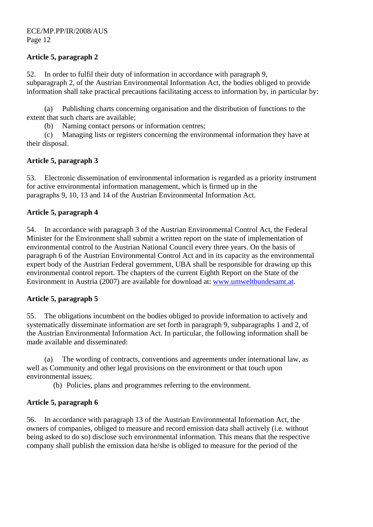## **Article 5, paragraph 2**

52. In order to fulfil their duty of information in accordance with paragraph 9, subparagraph 2, of the Austrian Environmental Information Act, the bodies obliged to provide information shall take practical precautions facilitating access to information by, in particular by:

(a) Publishing charts concerning organisation and the distribution of functions to the extent that such charts are available;

(b) Naming contact persons or information centres;

(c) Managing lists or registers concerning the environmental information they have at their disposal.

## **Article 5, paragraph 3**

53. Electronic dissemination of environmental information is regarded as a priority instrument for active environmental information management, which is firmed up in the paragraphs 9, 10, 13 and 14 of the Austrian Environmental Information Act.

## **Article 5, paragraph 4**

54. In accordance with paragraph 3 of the Austrian Environmental Control Act, the Federal Minister for the Environment shall submit a written report on the state of implementation of environmental control to the Austrian National Council every three years. On the basis of paragraph 6 of the Austrian Environmental Control Act and in its capacity as the environmental expert body of the Austrian Federal government, UBA shall be responsible for drawing up this environmental control report. The chapters of the current Eighth Report on the State of the Environment in Austria (2007) are available for download at: www.umweltbundesamt.at.

## **Article 5, paragraph 5**

55. The obligations incumbent on the bodies obliged to provide information to actively and systematically disseminate information are set forth in paragraph 9, subparagraphs 1 and 2, of the Austrian Environmental Information Act. In particular, the following information shall be made available and disseminated:

(a) The wording of contracts, conventions and agreements under international law, as well as Community and other legal provisions on the environment or that touch upon environmental issues;

(b) Policies, plans and programmes referring to the environment.

## **Article 5, paragraph 6**

56. In accordance with paragraph 13 of the Austrian Environmental Information Act, the owners of companies, obliged to measure and record emission data shall actively (i.e. without being asked to do so) disclose such environmental information. This means that the respective company shall publish the emission data he/she is obliged to measure for the period of the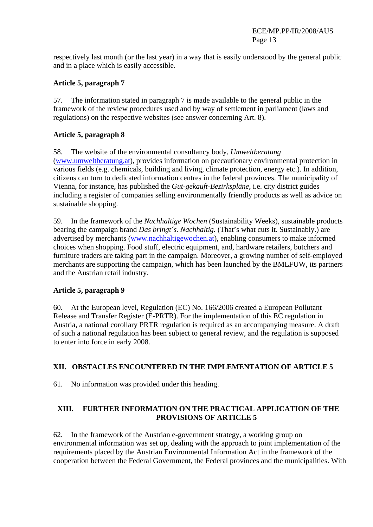respectively last month (or the last year) in a way that is easily understood by the general public and in a place which is easily accessible.

## **Article 5, paragraph 7**

57. The information stated in paragraph 7 is made available to the general public in the framework of the review procedures used and by way of settlement in parliament (laws and regulations) on the respective websites (see answer concerning Art. 8).

## **Article 5, paragraph 8**

58. The website of the environmental consultancy body, *Umweltberatung* (www.umweltberatung.at), provides information on precautionary environmental protection in various fields (e.g. chemicals, building and living, climate protection, energy etc.). In addition, citizens can turn to dedicated information centres in the federal provinces. The municipality of Vienna, for instance, has published the *Gut-gekauft-Bezirkspläne*, i.e. city district guides including a register of companies selling environmentally friendly products as well as advice on sustainable shopping.

59. In the framework of the *Nachhaltige Wochen* (Sustainability Weeks), sustainable products bearing the campaign brand *Das bringt´s. Nachhaltig.* (That's what cuts it. Sustainably.) are advertised by merchants (www.nachhaltigewochen.at), enabling consumers to make informed choices when shopping. Food stuff, electric equipment, and, hardware retailers, butchers and furniture traders are taking part in the campaign. Moreover, a growing number of self-employed merchants are supporting the campaign, which has been launched by the BMLFUW, its partners and the Austrian retail industry.

## **Article 5, paragraph 9**

60. At the European level, Regulation (EC) No. 166/2006 created a European Pollutant Release and Transfer Register (E-PRTR). For the implementation of this EC regulation in Austria, a national corollary PRTR regulation is required as an accompanying measure. A draft of such a national regulation has been subject to general review, and the regulation is supposed to enter into force in early 2008.

## **XII. OBSTACLES ENCOUNTERED IN THE IMPLEMENTATION OF ARTICLE 5**

61. No information was provided under this heading.

## **XIII. FURTHER INFORMATION ON THE PRACTICAL APPLICATION OF THE PROVISIONS OF ARTICLE 5**

62. In the framework of the Austrian e-government strategy, a working group on environmental information was set up, dealing with the approach to joint implementation of the requirements placed by the Austrian Environmental Information Act in the framework of the cooperation between the Federal Government, the Federal provinces and the municipalities. With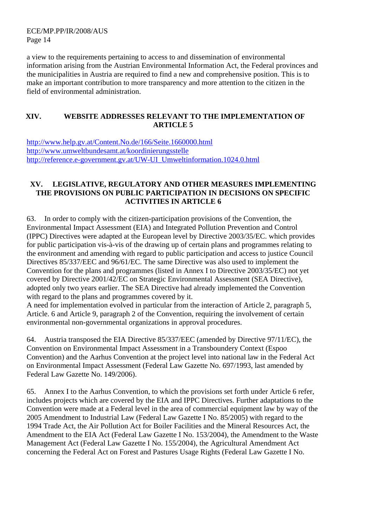a view to the requirements pertaining to access to and dissemination of environmental information arising from the Austrian Environmental Information Act, the Federal provinces and the municipalities in Austria are required to find a new and comprehensive position. This is to make an important contribution to more transparency and more attention to the citizen in the field of environmental administration.

## **XIV. WEBSITE ADDRESSES RELEVANT TO THE IMPLEMENTATION OF ARTICLE 5**

http://www.help.gv.at/Content.No.de/166/Seite.1660000.html http://www.umweltbundesamt.at/koordinierungsstelle http://reference.e-government.gv.at/UW-UI\_Umweltinformation.1024.0.html

## **XV. LEGISLATIVE, REGULATORY AND OTHER MEASURES IMPLEMENTING THE PROVISIONS ON PUBLIC PARTICIPATION IN DECISIONS ON SPECIFIC ACTIVITIES IN ARTICLE 6**

63. In order to comply with the citizen-participation provisions of the Convention, the Environmental Impact Assessment (EIA) and Integrated Pollution Prevention and Control (IPPC) Directives were adapted at the European level by Directive 2003/35/EC. which provides for public participation vis-à-vis of the drawing up of certain plans and programmes relating to the environment and amending with regard to public participation and access to justice Council Directives 85/337/EEC and 96/61/EC. The same Directive was also used to implement the Convention for the plans and programmes (listed in Annex I to Directive 2003/35/EC) not yet covered by Directive 2001/42/EC on Strategic Environmental Assessment (SEA Directive), adopted only two years earlier. The SEA Directive had already implemented the Convention with regard to the plans and programmes covered by it.

A need for implementation evolved in particular from the interaction of Article 2, paragraph 5, Article. 6 and Article 9, paragraph 2 of the Convention, requiring the involvement of certain environmental non-governmental organizations in approval procedures.

64. Austria transposed the EIA Directive 85/337/EEC (amended by Directive 97/11/EC), the Convention on Environmental Impact Assessment in a Transboundery Context (Espoo Convention) and the Aarhus Convention at the project level into national law in the Federal Act on Environmental Impact Assessment (Federal Law Gazette No. 697/1993, last amended by Federal Law Gazette No. 149/2006).

65. Annex I to the Aarhus Convention, to which the provisions set forth under Article 6 refer, includes projects which are covered by the EIA and IPPC Directives. Further adaptations to the Convention were made at a Federal level in the area of commercial equipment law by way of the 2005 Amendment to Industrial Law (Federal Law Gazette I No. 85/2005) with regard to the 1994 Trade Act, the Air Pollution Act for Boiler Facilities and the Mineral Resources Act, the Amendment to the EIA Act (Federal Law Gazette I No. 153/2004), the Amendment to the Waste Management Act (Federal Law Gazette I No. 155/2004), the Agricultural Amendment Act concerning the Federal Act on Forest and Pastures Usage Rights (Federal Law Gazette I No.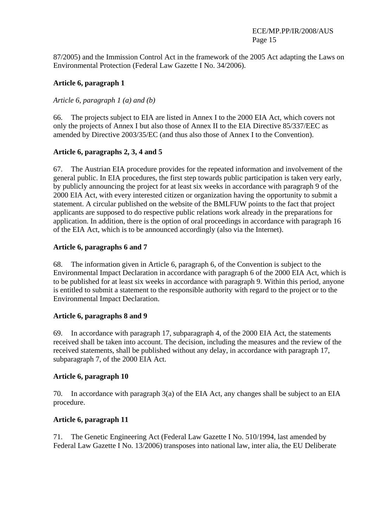87/2005) and the Immission Control Act in the framework of the 2005 Act adapting the Laws on Environmental Protection (Federal Law Gazette I No. 34/2006).

## **Article 6, paragraph 1**

## *Article 6, paragraph 1 (a) and (b)*

66. The projects subject to EIA are listed in Annex I to the 2000 EIA Act, which covers not only the projects of Annex I but also those of Annex II to the EIA Directive 85/337/EEC as amended by Directive 2003/35/EC (and thus also those of Annex I to the Convention).

## **Article 6, paragraphs 2, 3, 4 and 5**

67. The Austrian EIA procedure provides for the repeated information and involvement of the general public. In EIA procedures, the first step towards public participation is taken very early, by publicly announcing the project for at least six weeks in accordance with paragraph 9 of the 2000 EIA Act, with every interested citizen or organization having the opportunity to submit a statement. A circular published on the website of the BMLFUW points to the fact that project applicants are supposed to do respective public relations work already in the preparations for application. In addition, there is the option of oral proceedings in accordance with paragraph 16 of the EIA Act, which is to be announced accordingly (also via the Internet).

## **Article 6, paragraphs 6 and 7**

68. The information given in Article 6, paragraph 6, of the Convention is subject to the Environmental Impact Declaration in accordance with paragraph 6 of the 2000 EIA Act, which is to be published for at least six weeks in accordance with paragraph 9. Within this period, anyone is entitled to submit a statement to the responsible authority with regard to the project or to the Environmental Impact Declaration.

## **Article 6, paragraphs 8 and 9**

69. In accordance with paragraph 17, subparagraph 4, of the 2000 EIA Act, the statements received shall be taken into account. The decision, including the measures and the review of the received statements, shall be published without any delay, in accordance with paragraph 17, subparagraph 7, of the 2000 EIA Act.

## **Article 6, paragraph 10**

70. In accordance with paragraph 3(a) of the EIA Act, any changes shall be subject to an EIA procedure.

## **Article 6, paragraph 11**

71. The Genetic Engineering Act (Federal Law Gazette I No. 510/1994, last amended by Federal Law Gazette I No. 13/2006) transposes into national law, inter alia, the EU Deliberate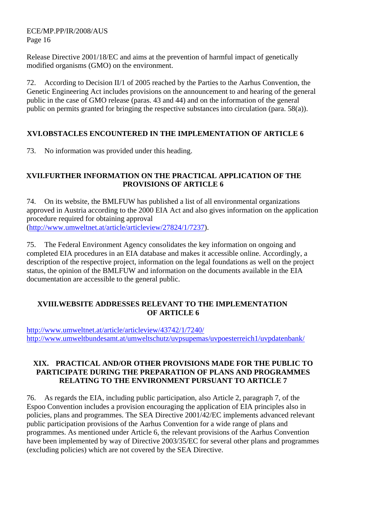Release Directive 2001/18/EC and aims at the prevention of harmful impact of genetically modified organisms (GMO) on the environment.

72. According to Decision II/1 of 2005 reached by the Parties to the Aarhus Convention, the Genetic Engineering Act includes provisions on the announcement to and hearing of the general public in the case of GMO release (paras. 43 and 44) and on the information of the general public on permits granted for bringing the respective substances into circulation (para. 58(a)).

## **XVI.OBSTACLES ENCOUNTERED IN THE IMPLEMENTATION OF ARTICLE 6**

73. No information was provided under this heading.

#### **XVII.FURTHER INFORMATION ON THE PRACTICAL APPLICATION OF THE PROVISIONS OF ARTICLE 6**

74. On its website, the BMLFUW has published a list of all environmental organizations approved in Austria according to the 2000 EIA Act and also gives information on the application procedure required for obtaining approval (http://www.umweltnet.at/article/articleview/27824/1/7237).

75. The Federal Environment Agency consolidates the key information on ongoing and completed EIA procedures in an EIA database and makes it accessible online. Accordingly, a description of the respective project, information on the legal foundations as well on the project status, the opinion of the BMLFUW and information on the documents available in the EIA documentation are accessible to the general public.

## **XVIII.WEBSITE ADDRESSES RELEVANT TO THE IMPLEMENTATION OF ARTICLE 6**

http://www.umweltnet.at/article/articleview/43742/1/7240/ http://www.umweltbundesamt.at/umweltschutz/uvpsupemas/uvpoesterreich1/uvpdatenbank/

## **XIX. PRACTICAL AND/OR OTHER PROVISIONS MADE FOR THE PUBLIC TO PARTICIPATE DURING THE PREPARATION OF PLANS AND PROGRAMMES RELATING TO THE ENVIRONMENT PURSUANT TO ARTICLE 7**

76. As regards the EIA, including public participation, also Article 2, paragraph 7, of the Espoo Convention includes a provision encouraging the application of EIA principles also in policies, plans and programmes. The SEA Directive 2001/42/EC implements advanced relevant public participation provisions of the Aarhus Convention for a wide range of plans and programmes. As mentioned under Article 6, the relevant provisions of the Aarhus Convention have been implemented by way of Directive 2003/35/EC for several other plans and programmes (excluding policies) which are not covered by the SEA Directive.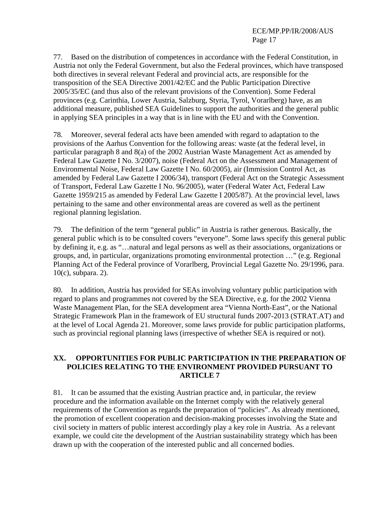77. Based on the distribution of competences in accordance with the Federal Constitution, in Austria not only the Federal Government, but also the Federal provinces, which have transposed both directives in several relevant Federal and provincial acts, are responsible for the transposition of the SEA Directive 2001/42/EC and the Public Participation Directive 2005/35/EC (and thus also of the relevant provisions of the Convention). Some Federal provinces (e.g. Carinthia, Lower Austria, Salzburg, Styria, Tyrol, Vorarlberg) have, as an additional measure, published SEA Guidelines to support the authorities and the general public in applying SEA principles in a way that is in line with the EU and with the Convention.

78. Moreover, several federal acts have been amended with regard to adaptation to the provisions of the Aarhus Convention for the following areas: waste (at the federal level, in particular paragraph 8 and 8(a) of the 2002 Austrian Waste Management Act as amended by Federal Law Gazette I No. 3/2007), noise (Federal Act on the Assessment and Management of Environmental Noise, Federal Law Gazette I No. 60/2005), air (Immission Control Act, as amended by Federal Law Gazette I 2006/34), transport (Federal Act on the Strategic Assessment of Transport, Federal Law Gazette I No. 96/2005), water (Federal Water Act, Federal Law Gazette 1959/215 as amended by Federal Law Gazette I 2005/87). At the provincial level, laws pertaining to the same and other environmental areas are covered as well as the pertinent regional planning legislation.

79. The definition of the term "general public" in Austria is rather generous. Basically, the general public which is to be consulted covers "everyone". Some laws specify this general public by defining it, e.g. as "…natural and legal persons as well as their associations, organizations or groups, and, in particular, organizations promoting environmental protection …" (e.g. Regional Planning Act of the Federal province of Vorarlberg, Provincial Legal Gazette No. 29/1996, para. 10(c), subpara. 2).

80. In addition, Austria has provided for SEAs involving voluntary public participation with regard to plans and programmes not covered by the SEA Directive, e.g. for the 2002 Vienna Waste Management Plan, for the SEA development area "Vienna North-East", or the National Strategic Framework Plan in the framework of EU structural funds 2007-2013 (STRAT.AT) and at the level of Local Agenda 21. Moreover, some laws provide for public participation platforms, such as provincial regional planning laws (irrespective of whether SEA is required or not).

## **XX. OPPORTUNITIES FOR PUBLIC PARTICIPATION IN THE PREPARATION OF POLICIES RELATING TO THE ENVIRONMENT PROVIDED PURSUANT TO ARTICLE 7**

81. It can be assumed that the existing Austrian practice and, in particular, the review procedure and the information available on the Internet comply with the relatively general requirements of the Convention as regards the preparation of "policies". As already mentioned, the promotion of excellent cooperation and decision-making processes involving the State and civil society in matters of public interest accordingly play a key role in Austria. As a relevant example, we could cite the development of the Austrian sustainability strategy which has been drawn up with the cooperation of the interested public and all concerned bodies.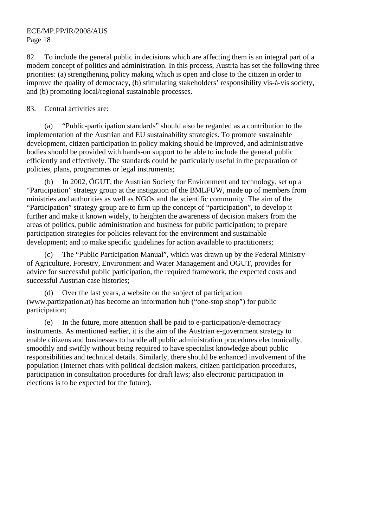82. To include the general public in decisions which are affecting them is an integral part of a modern concept of politics and administration. In this process, Austria has set the following three priorities: (a) strengthening policy making which is open and close to the citizen in order to improve the quality of democracy, (b) stimulating stakeholders' responsibility vis-à-vis society, and (b) promoting local/regional sustainable processes.

## 83. Central activities are:

(a) "Public-participation standards" should also be regarded as a contribution to the implementation of the Austrian and EU sustainability strategies. To promote sustainable development, citizen participation in policy making should be improved, and administrative bodies should be provided with hands-on support to be able to include the general public efficiently and effectively. The standards could be particularly useful in the preparation of policies, plans, programmes or legal instruments;

(b) In 2002, ÖGUT, the Austrian Society for Environment and technology, set up a "Participation" strategy group at the instigation of the BMLFUW, made up of members from ministries and authorities as well as NGOs and the scientific community. The aim of the "Participation" strategy group are to firm up the concept of "participation", to develop it further and make it known widely, to heighten the awareness of decision makers from the areas of politics, public administration and business for public participation; to prepare participation strategies for policies relevant for the environment and sustainable development; and to make specific guidelines for action available to practitioners;

The "Public Participation Manual", which was drawn up by the Federal Ministry of Agriculture, Forestry, Environment and Water Management and ÖGUT, provides for advice for successful public participation, the required framework, the expected costs and successful Austrian case histories;

Over the last years, a website on the subject of participation (www.partizpation.at) has become an information hub ("one-stop shop") for public participation;

(e) In the future, more attention shall be paid to e-participation/e-democracy instruments. As mentioned earlier, it is the aim of the Austrian e-government strategy to enable citizens and businesses to handle all public administration procedures electronically, smoothly and swiftly without being required to have specialist knowledge about public responsibilities and technical details. Similarly, there should be enhanced involvement of the population (Internet chats with political decision makers, citizen participation procedures, participation in consultation procedures for draft laws; also electronic participation in elections is to be expected for the future).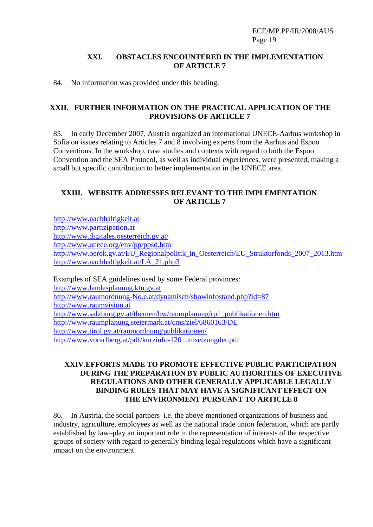#### **XXI. OBSTACLES ENCOUNTERED IN THE IMPLEMENTATION OF ARTICLE 7**

84. No information was provided under this heading.

#### **XXII. FURTHER INFORMATION ON THE PRACTICAL APPLICATION OF THE PROVISIONS OF ARTICLE 7**

85. In early December 2007, Austria organized an international UNECE-Aarhus workshop in Sofia on issues relating to Articles 7 and 8 involving experts from the Aarhus and Espoo Conventions. In the workshop, case studies and contexts with regard to both the Espoo Convention and the SEA Protocol, as well as individual experiences, were presented, making a small but specific contribution to better implementation in the UNECE area.

## **XXIII. WEBSITE ADDRESSES RELEVANT TO THE IMPLEMENTATION OF ARTICLE 7**

http://www.nachhaltigkeit.at http://www.partizipation.at http://www.digitales.oesterreich.gv.at/ http://www.unece.org/env/pp/ppsd.htm http://www.oerok.gv.at/EU\_Regionalpolitik\_in\_Oesterreich/EU\_Strukturfonds\_2007\_2013.htm http://www.nachhaltigkeit.at/LA\_21.php3

Examples of SEA guidelines used by some Federal provinces: http://www.landesplanung.ktn.gv.at http://www.raumordnung-No.e.at/dynamisch/showinfostand.php?id=87 http://www.raumvision.at http://www.salzburg.gv.at/themen/bw/raumplanung/rp1\_publikationen.htm http://www.raumplanung.steiermark.at/cms/ziel/6860163/DE http://www.tirol.gv.at/raumordnung/publikationen/ http://www.vorarlberg.at/pdf/kurzinfo-120\_umsetzungder.pdf

#### **XXIV.EFFORTS MADE TO PROMOTE EFFECTIVE PUBLIC PARTICIPATION DURING THE PREPARATION BY PUBLIC AUTHORITIES OF EXECUTIVE REGULATIONS AND OTHER GENERALLY APPLICABLE LEGALLY BINDING RULES THAT MAY HAVE A SIGNIFICANT EFFECT ON THE ENVIRONMENT PURSUANT TO ARTICLE 8**

86. In Austria, the social partners–i.e. the above mentioned organizations of business and industry, agriculture, employees as well as the national trade union federation, which are partly established by law–play an important role in the representation of interests of the respective groups of society with regard to generally binding legal regulations which have a significant impact on the environment.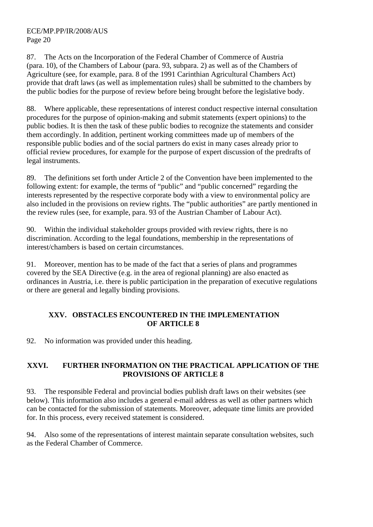87. The Acts on the Incorporation of the Federal Chamber of Commerce of Austria (para. 10), of the Chambers of Labour (para. 93, subpara. 2) as well as of the Chambers of Agriculture (see, for example, para. 8 of the 1991 Carinthian Agricultural Chambers Act) provide that draft laws (as well as implementation rules) shall be submitted to the chambers by the public bodies for the purpose of review before being brought before the legislative body.

88. Where applicable, these representations of interest conduct respective internal consultation procedures for the purpose of opinion-making and submit statements (expert opinions) to the public bodies. It is then the task of these public bodies to recognize the statements and consider them accordingly. In addition, pertinent working committees made up of members of the responsible public bodies and of the social partners do exist in many cases already prior to official review procedures, for example for the purpose of expert discussion of the predrafts of legal instruments.

89. The definitions set forth under Article 2 of the Convention have been implemented to the following extent: for example, the terms of "public" and "public concerned" regarding the interests represented by the respective corporate body with a view to environmental policy are also included in the provisions on review rights. The "public authorities" are partly mentioned in the review rules (see, for example, para. 93 of the Austrian Chamber of Labour Act).

90. Within the individual stakeholder groups provided with review rights, there is no discrimination. According to the legal foundations, membership in the representations of interest/chambers is based on certain circumstances.

91. Moreover, mention has to be made of the fact that a series of plans and programmes covered by the SEA Directive (e.g. in the area of regional planning) are also enacted as ordinances in Austria, i.e. there is public participation in the preparation of executive regulations or there are general and legally binding provisions.

## **XXV. OBSTACLES ENCOUNTERED IN THE IMPLEMENTATION OF ARTICLE 8**

92. No information was provided under this heading.

## **XXVI. FURTHER INFORMATION ON THE PRACTICAL APPLICATION OF THE PROVISIONS OF ARTICLE 8**

93. The responsible Federal and provincial bodies publish draft laws on their websites (see below). This information also includes a general e-mail address as well as other partners which can be contacted for the submission of statements. Moreover, adequate time limits are provided for. In this process, every received statement is considered.

94. Also some of the representations of interest maintain separate consultation websites, such as the Federal Chamber of Commerce.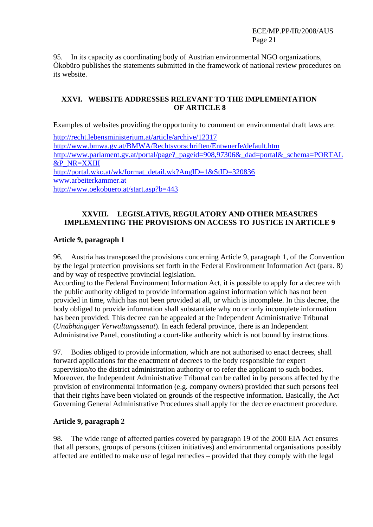95. In its capacity as coordinating body of Austrian environmental NGO organizations, Ökobüro publishes the statements submitted in the framework of national review procedures on its website.

## **XXVI. WEBSITE ADDRESSES RELEVANT TO THE IMPLEMENTATION OF ARTICLE 8**

Examples of websites providing the opportunity to comment on environmental draft laws are:

http://recht.lebensministerium.at/article/archive/12317 http://www.bmwa.gv.at/BMWA/Rechtsvorschriften/Entwuerfe/default.htm http://www.parlament.gv.at/portal/page?\_pageid=908,97306&\_dad=portal&\_schema=PORTAL &P\_NR=XXIII http://portal.wko.at/wk/format\_detail.wk?AngID=1&StID=320836 www.arbeiterkammer.at http://www.oekobuero.at/start.asp?b=443

## **XXVIII. LEGISLATIVE, REGULATORY AND OTHER MEASURES IMPLEMENTING THE PROVISIONS ON ACCESS TO JUSTICE IN ARTICLE 9**

## **Article 9, paragraph 1**

96. Austria has transposed the provisions concerning Article 9, paragraph 1, of the Convention by the legal protection provisions set forth in the Federal Environment Information Act (para. 8) and by way of respective provincial legislation.

According to the Federal Environment Information Act, it is possible to apply for a decree with the public authority obliged to provide information against information which has not been provided in time, which has not been provided at all, or which is incomplete. In this decree, the body obliged to provide information shall substantiate why no or only incomplete information has been provided. This decree can be appealed at the Independent Administrative Tribunal (*Unabhängiger Verwaltungssenat*). In each federal province, there is an Independent Administrative Panel, constituting a court-like authority which is not bound by instructions.

97. Bodies obliged to provide information, which are not authorised to enact decrees, shall forward applications for the enactment of decrees to the body responsible for expert supervision/to the district administration authority or to refer the applicant to such bodies. Moreover, the Independent Administrative Tribunal can be called in by persons affected by the provision of environmental information (e.g. company owners) provided that such persons feel that their rights have been violated on grounds of the respective information. Basically, the Act Governing General Administrative Procedures shall apply for the decree enactment procedure.

## **Article 9, paragraph 2**

98. The wide range of affected parties covered by paragraph 19 of the 2000 EIA Act ensures that all persons, groups of persons (citizen initiatives) and environmental organisations possibly affected are entitled to make use of legal remedies – provided that they comply with the legal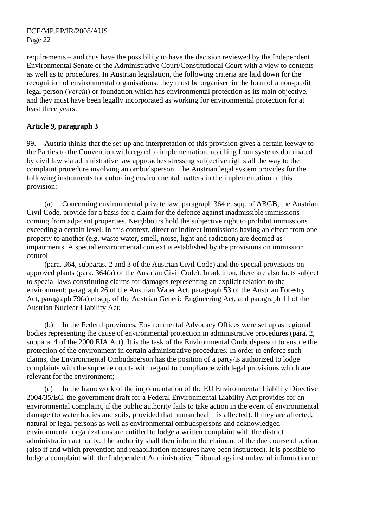requirements – and thus have the possibility to have the decision reviewed by the Independent Environmental Senate or the Administrative Court/Constitutional Court with a view to contents as well as to procedures. In Austrian legislation, the following criteria are laid down for the recognition of environmental organisations: they must be organised in the form of a non-profit legal person (*Verein*) or foundation which has environmental protection as its main objective, and they must have been legally incorporated as working for environmental protection for at least three years.

## **Article 9, paragraph 3**

99. Austria thinks that the set-up and interpretation of this provision gives a certain leeway to the Parties to the Convention with regard to implementation, reaching from systems dominated by civil law via administrative law approaches stressing subjective rights all the way to the complaint procedure involving an ombudsperson. The Austrian legal system provides for the following instruments for enforcing environmental matters in the implementation of this provision:

(a) Concerning environmental private law, paragraph 364 et sqq. of ABGB, the Austrian Civil Code, provide for a basis for a claim for the defence against inadmissible immissions coming from adjacent properties. Neighbours hold the subjective right to prohibit immissions exceeding a certain level. In this context, direct or indirect immissions having an effect from one property to another (e.g. waste water, smell, noise, light and radiation) are deemed as impairments. A special environmental context is established by the provisions on immission control

(para. 364, subparas. 2 and 3 of the Austrian Civil Code) and the special provisions on approved plants (para. 364(a) of the Austrian Civil Code). In addition, there are also facts subject to special laws constituting claims for damages representing an explicit relation to the environment: paragraph 26 of the Austrian Water Act, paragraph 53 of the Austrian Forestry Act, paragraph 79(a) et sqq. of the Austrian Genetic Engineering Act, and paragraph 11 of the Austrian Nuclear Liability Act;

(b) In the Federal provinces, Environmental Advocacy Offices were set up as regional bodies representing the cause of environmental protection in administrative procedures (para. 2, subpara. 4 of the 2000 EIA Act). It is the task of the Environmental Ombudsperson to ensure the protection of the environment in certain administrative procedures. In order to enforce such claims, the Environmental Ombudsperson has the position of a party/is authorized to lodge complaints with the supreme courts with regard to compliance with legal provisions which are relevant for the environment;

(c) In the framework of the implementation of the EU Environmental Liability Directive 2004/35/EC, the government draft for a Federal Environmental Liability Act provides for an environmental complaint, if the public authority fails to take action in the event of environmental damage (to water bodies and soils, provided that human health is affected). If they are affected, natural or legal persons as well as environmental ombudspersons and acknowledged environmental organizations are entitled to lodge a written complaint with the district administration authority. The authority shall then inform the claimant of the due course of action (also if and which prevention and rehabilitation measures have been instructed). It is possible to lodge a complaint with the Independent Administrative Tribunal against unlawful information or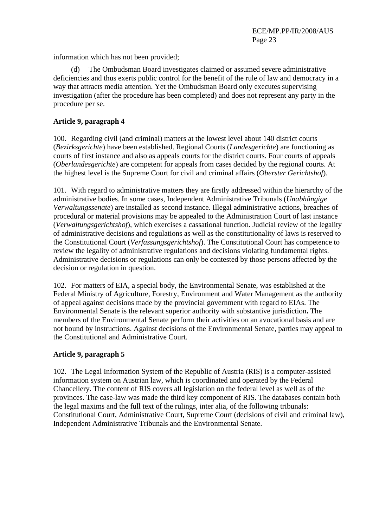information which has not been provided;

(d) The Ombudsman Board investigates claimed or assumed severe administrative deficiencies and thus exerts public control for the benefit of the rule of law and democracy in a way that attracts media attention. Yet the Ombudsman Board only executes supervising investigation (after the procedure has been completed) and does not represent any party in the procedure per se.

## **Article 9, paragraph 4**

100. Regarding civil (and criminal) matters at the lowest level about 140 district courts (*Bezirksgerichte*) have been established. Regional Courts (*Landesgerichte*) are functioning as courts of first instance and also as appeals courts for the district courts. Four courts of appeals (*Oberlandesgerichte*) are competent for appeals from cases decided by the regional courts. At the highest level is the Supreme Court for civil and criminal affairs (*Oberster Gerichtshof*).

101. With regard to administrative matters they are firstly addressed within the hierarchy of the administrative bodies. In some cases, Independent Administrative Tribunals (*Unabhängige Verwaltungssenate*) are installed as second instance. Illegal administrative actions, breaches of procedural or material provisions may be appealed to the Administration Court of last instance (*Verwaltungsgerichtshof*), which exercises a cassational function. Judicial review of the legality of administrative decisions and regulations as well as the constitutionality of laws is reserved to the Constitutional Court (*Verfassungsgerichtshof*). The Constitutional Court has competence to review the legality of administrative regulations and decisions violating fundamental rights. Administrative decisions or regulations can only be contested by those persons affected by the decision or regulation in question.

102. For matters of EIA, a special body, the Environmental Senate, was established at the Federal Ministry of Agriculture, Forestry, Environment and Water Management as the authority of appeal against decisions made by the provincial government with regard to EIAs. The Environmental Senate is the relevant superior authority with substantive jurisdiction**.** The members of the Environmental Senate perform their activities on an avocational basis and are not bound by instructions. Against decisions of the Environmental Senate, parties may appeal to the Constitutional and Administrative Court.

## **Article 9, paragraph 5**

102. The Legal Information System of the Republic of Austria (RIS) is a computer-assisted information system on Austrian law, which is coordinated and operated by the Federal Chancellery. The content of RIS covers all legislation on the federal level as well as of the provinces. The case-law was made the third key component of RIS. The databases contain both the legal maxims and the full text of the rulings, inter alia, of the following tribunals: Constitutional Court, Administrative Court, Supreme Court (decisions of civil and criminal law), Independent Administrative Tribunals and the Environmental Senate.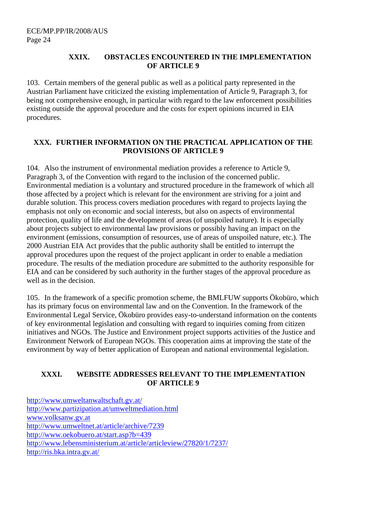#### **XXIX. OBSTACLES ENCOUNTERED IN THE IMPLEMENTATION OF ARTICLE 9**

103. Certain members of the general public as well as a political party represented in the Austrian Parliament have criticized the existing implementation of Article 9, Paragraph 3, for being not comprehensive enough, in particular with regard to the law enforcement possibilities existing outside the approval procedure and the costs for expert opinions incurred in EIA procedures.

## **XXX. FURTHER INFORMATION ON THE PRACTICAL APPLICATION OF THE PROVISIONS OF ARTICLE 9**

104. Also the instrument of environmental mediation provides a reference to Article 9, Paragraph 3, of the Convention with regard to the inclusion of the concerned public. Environmental mediation is a voluntary and structured procedure in the framework of which all those affected by a project which is relevant for the environment are striving for a joint and durable solution. This process covers mediation procedures with regard to projects laying the emphasis not only on economic and social interests, but also on aspects of environmental protection, quality of life and the development of areas (of unspoiled nature). It is especially about projects subject to environmental law provisions or possibly having an impact on the environment (emissions, consumption of resources, use of areas of unspoiled nature, etc.). The 2000 Austrian EIA Act provides that the public authority shall be entitled to interrupt the approval procedures upon the request of the project applicant in order to enable a mediation procedure. The results of the mediation procedure are submitted to the authority responsible for EIA and can be considered by such authority in the further stages of the approval procedure as well as in the decision.

105. In the framework of a specific promotion scheme, the BMLFUW supports Ökobüro, which has its primary focus on environmental law and on the Convention. In the framework of the Environmental Legal Service, Ökobüro provides easy-to-understand information on the contents of key environmental legislation and consulting with regard to inquiries coming from citizen initiatives and NGOs. The Justice and Environment project supports activities of the Justice and Environment Network of European NGOs. This cooperation aims at improving the state of the environment by way of better application of European and national environmental legislation.

## **XXXI. WEBSITE ADDRESSES RELEVANT TO THE IMPLEMENTATION OF ARTICLE 9**

http://www.umweltanwaltschaft.gv.at/ http://www.partizipation.at/umweltmediation.html www.volksanw.gv.at http://www.umweltnet.at/article/archive/7239 http://www.oekobuero.at/start.asp?b=439 http://www.lebensministerium.at/article/articleview/27820/1/7237/ http://ris.bka.intra.gv.at/